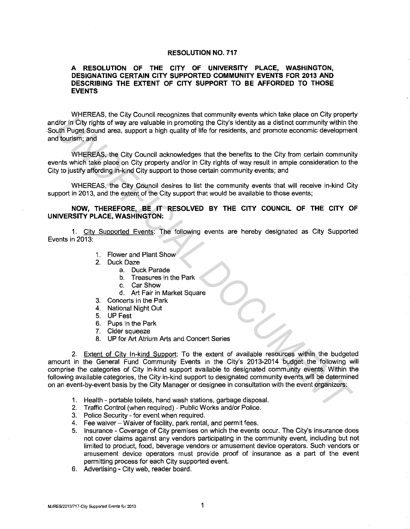## **RESOLUTION NO. 717**

## **A RESOLUTION OF THE CITY OF UNIVERSITY PLACE, WASHINGTON, DESIGNATING CERTAIN CITY SUPPORTED COMMUNITY EVENTS FOR 2013 AND DESCRIBING THE EXTENT OF CITY SUPPORT TO BE AFFORDED TO THOSE EVENTS**

WHEREAS, the City Council recognizes that community events which take place on City property and/or in City rights of way are valuable in promoting the City's identity as a distinct community within the South Puget Sound area, support a high quality of life for residents, and promote economic development and tourism; and

WHEREAS, the City Council acknowledges that the benefits to the City from certain community events which take place on City property and/or in City rights of way result in ample consideration to the City to justify affording in-kind City support to those certain community events; and

WHEREAS, the City Council desires to list the community events that will receive in-kind City support in 2013, and the extent of the City support that would be available to those events;

## **NOW, THEREFORE, BE IT RESOLVED BY THE CITY COUNCIL OF THE CITY OF UNIVERSITY PLACE, WASHINGTON:**

1 . City Supported Events: The following events are hereby designated as City Supported Events in 2013:

- 1. Flower and Plant Show
- 2. Duck Daze
	- a. Duck Parade
	- b. Treasures in the Park
	- c. Car Show
	- d. Art Fair in Market Square
- 3. Concerts in the Park
- 4. National Night Out
- 5. UP Fest
- 6. Pups in the Park
- 7. Cider squeeze
- 8. UP for Art Atrium Arts and Concert Series

2. Extent of City In-kind Support: To the extent of available resources within the budgeted amount in the General Fund Community Events in the City's 2013-2014 budget the following will comprise the categories of City in-kind support available to designated community events. Within the following available categories, the City in-kind support to designated community events will be determined on an event-by-event basis by the City Manager or designee in consultation with the event organizers: **UNIFICENTS, the City Council electropics and contract and promoting wents what are place on the place of the City and the UNIFICIAL dot in City rights of way are valuable in promoting the City selently as a distinct commu** 

- 1. Health portable toilets, hand wash stations, garbage disposal.
- 2. Traffic Control (when required) Public Works and/or Police.
- 3. Police Security-for event when required.
- 4. Fee waiver Waiver of facility, park rental, and permit fees.
- 5. Insurance Coverage of City premises on which the events occur. The City's insurance does not cover claims against any vendors participating in the community event, including but not limited to product, food, beverage vendors or amusement device operators. Such vendors or amusement device operators must provide proof of insurance as a part of the event permitting process for each City supported event.
- 6. Advertising City web, reader board.